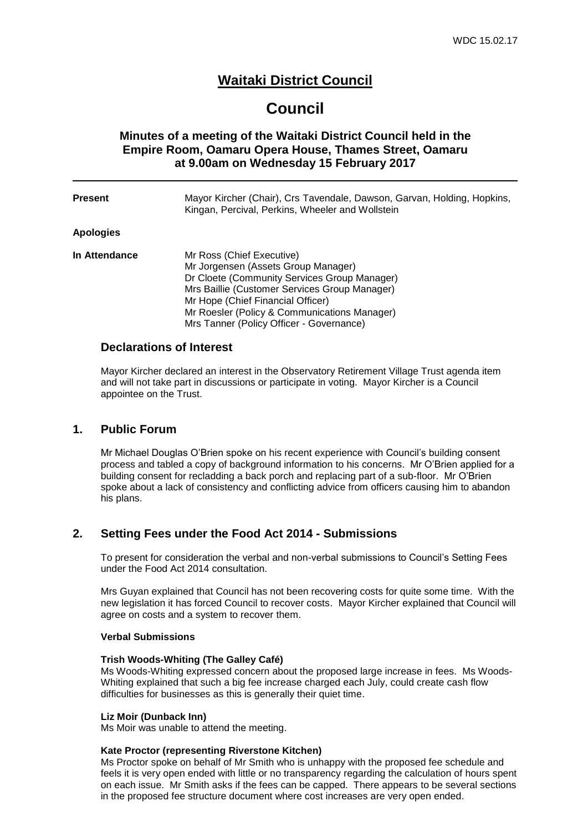### **Waitaki District Council**

## **Council**

### **Minutes of a meeting of the Waitaki District Council held in the Empire Room, Oamaru Opera House, Thames Street, Oamaru at 9.00am on Wednesday 15 February 2017**

| Apologies<br>In Attendance<br>Mr Ross (Chief Executive)<br>Mr Jorgensen (Assets Group Manager)<br>Dr Cloete (Community Services Group Manager)<br>Mrs Baillie (Customer Services Group Manager)<br>Mr Hope (Chief Financial Officer)<br>Mr Roesler (Policy & Communications Manager)<br>Mrs Tanner (Policy Officer - Governance) | <b>Present</b> | Mayor Kircher (Chair), Crs Tavendale, Dawson, Garvan, Holding, Hopkins,<br>Kingan, Percival, Perkins, Wheeler and Wollstein |
|----------------------------------------------------------------------------------------------------------------------------------------------------------------------------------------------------------------------------------------------------------------------------------------------------------------------------------|----------------|-----------------------------------------------------------------------------------------------------------------------------|
|                                                                                                                                                                                                                                                                                                                                  |                |                                                                                                                             |
|                                                                                                                                                                                                                                                                                                                                  |                |                                                                                                                             |

#### **Declarations of Interest**

Mayor Kircher declared an interest in the Observatory Retirement Village Trust agenda item and will not take part in discussions or participate in voting. Mayor Kircher is a Council appointee on the Trust.

#### **1. Public Forum**

Mr Michael Douglas O'Brien spoke on his recent experience with Council's building consent process and tabled a copy of background information to his concerns. Mr O'Brien applied for a building consent for recladding a back porch and replacing part of a sub-floor. Mr O'Brien spoke about a lack of consistency and conflicting advice from officers causing him to abandon his plans.

### **2. Setting Fees under the Food Act 2014 - Submissions**

To present for consideration the verbal and non-verbal submissions to Council's Setting Fees under the Food Act 2014 consultation.

Mrs Guyan explained that Council has not been recovering costs for quite some time. With the new legislation it has forced Council to recover costs. Mayor Kircher explained that Council will agree on costs and a system to recover them.

#### **Verbal Submissions**

#### **Trish Woods-Whiting (The Galley Café)**

Ms Woods-Whiting expressed concern about the proposed large increase in fees. Ms Woods-Whiting explained that such a big fee increase charged each July, could create cash flow difficulties for businesses as this is generally their quiet time.

#### **Liz Moir (Dunback Inn)**

Ms Moir was unable to attend the meeting.

#### **Kate Proctor (representing Riverstone Kitchen)**

Ms Proctor spoke on behalf of Mr Smith who is unhappy with the proposed fee schedule and feels it is very open ended with little or no transparency regarding the calculation of hours spent on each issue. Mr Smith asks if the fees can be capped. There appears to be several sections in the proposed fee structure document where cost increases are very open ended.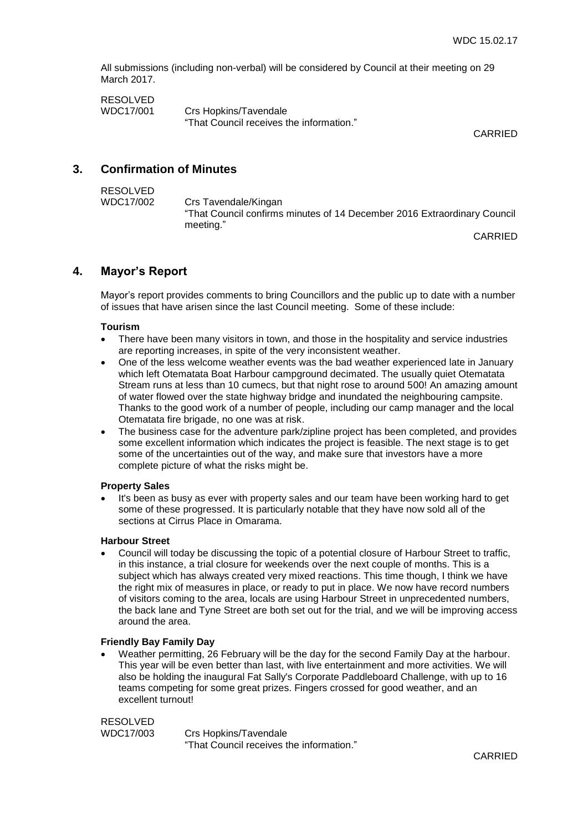All submissions (including non-verbal) will be considered by Council at their meeting on 29 March 2017.

| <b>RESOLVED</b> |                                          |
|-----------------|------------------------------------------|
| WDC17/001       | Crs Hopkins/Tavendale                    |
|                 | "That Council receives the information." |

CARRIED

### **3. Confirmation of Minutes**

| RESOLVED  |                                                                          |
|-----------|--------------------------------------------------------------------------|
| WDC17/002 | Crs Tavendale/Kingan                                                     |
|           | "That Council confirms minutes of 14 December 2016 Extraordinary Council |
|           | meeting."                                                                |

CARRIED

### **4. Mayor's Report**

Mayor's report provides comments to bring Councillors and the public up to date with a number of issues that have arisen since the last Council meeting. Some of these include:

#### **Tourism**

- There have been many visitors in town, and those in the hospitality and service industries are reporting increases, in spite of the very inconsistent weather.
- One of the less welcome weather events was the bad weather experienced late in January which left Otematata Boat Harbour campground decimated. The usually quiet Otematata Stream runs at less than 10 cumecs, but that night rose to around 500! An amazing amount of water flowed over the state highway bridge and inundated the neighbouring campsite. Thanks to the good work of a number of people, including our camp manager and the local Otematata fire brigade, no one was at risk.
- The business case for the adventure park/zipline project has been completed, and provides some excellent information which indicates the project is feasible. The next stage is to get some of the uncertainties out of the way, and make sure that investors have a more complete picture of what the risks might be.

#### **Property Sales**

 It's been as busy as ever with property sales and our team have been working hard to get some of these progressed. It is particularly notable that they have now sold all of the sections at Cirrus Place in Omarama.

#### **Harbour Street**

 Council will today be discussing the topic of a potential closure of Harbour Street to traffic, in this instance, a trial closure for weekends over the next couple of months. This is a subject which has always created very mixed reactions. This time though, I think we have the right mix of measures in place, or ready to put in place. We now have record numbers of visitors coming to the area, locals are using Harbour Street in unprecedented numbers, the back lane and Tyne Street are both set out for the trial, and we will be improving access around the area.

#### **Friendly Bay Family Day**

 Weather permitting, 26 February will be the day for the second Family Day at the harbour. This year will be even better than last, with live entertainment and more activities. We will also be holding the inaugural Fat Sally's Corporate Paddleboard Challenge, with up to 16 teams competing for some great prizes. Fingers crossed for good weather, and an excellent turnout!

RESOLVED WDC17/003 Crs Hopkins/Tavendale "That Council receives the information."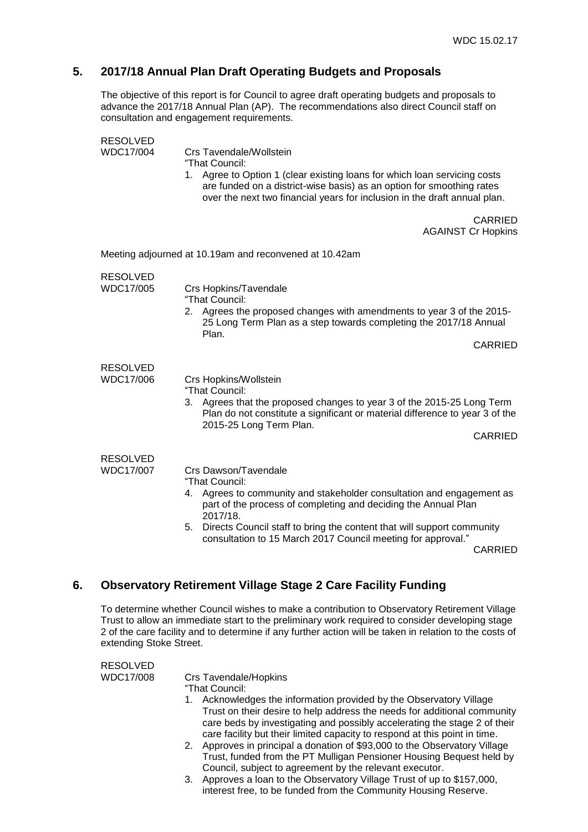### **5. 2017/18 Annual Plan Draft Operating Budgets and Proposals**

The objective of this report is for Council to agree draft operating budgets and proposals to advance the 2017/18 Annual Plan (AP). The recommendations also direct Council staff on consultation and engagement requirements.

| <b>RESOLVED</b><br>WDC17/004 | Crs Tavendale/Wollstein<br>"That Council:<br>1. Agree to Option 1 (clear existing loans for which loan servicing costs<br>are funded on a district-wise basis) as an option for smoothing rates<br>over the next two financial years for inclusion in the draft annual plan.                                                                          |
|------------------------------|-------------------------------------------------------------------------------------------------------------------------------------------------------------------------------------------------------------------------------------------------------------------------------------------------------------------------------------------------------|
|                              | CARRIED<br><b>AGAINST Cr Hopkins</b>                                                                                                                                                                                                                                                                                                                  |
|                              | Meeting adjourned at 10.19am and reconvened at 10.42am                                                                                                                                                                                                                                                                                                |
| <b>RESOLVED</b><br>WDC17/005 | Crs Hopkins/Tavendale<br>"That Council:<br>2. Agrees the proposed changes with amendments to year 3 of the 2015-<br>25 Long Term Plan as a step towards completing the 2017/18 Annual<br>Plan.<br><b>CARRIED</b>                                                                                                                                      |
| <b>RESOLVED</b><br>WDC17/006 | Crs Hopkins/Wollstein<br>"That Council:<br>Agrees that the proposed changes to year 3 of the 2015-25 Long Term<br>3.<br>Plan do not constitute a significant or material difference to year 3 of the<br>2015-25 Long Term Plan.<br><b>CARRIED</b>                                                                                                     |
| <b>RESOLVED</b><br>WDC17/007 | Crs Dawson/Tavendale<br>"That Council:<br>4. Agrees to community and stakeholder consultation and engagement as<br>part of the process of completing and deciding the Annual Plan<br>2017/18.<br>5. Directs Council staff to bring the content that will support community<br>consultation to 15 March 2017 Council meeting for approval."<br>CARRIED |

### **6. Observatory Retirement Village Stage 2 Care Facility Funding**

To determine whether Council wishes to make a contribution to Observatory Retirement Village Trust to allow an immediate start to the preliminary work required to consider developing stage 2 of the care facility and to determine if any further action will be taken in relation to the costs of extending Stoke Street.

| Trust to allow an immediate start to the preliminary work required to consider developing stage<br>2 of the care facility and to determine if any further action will be taken in relation to the costs of<br>extending Stoke Street. |                              |                                                                                                                                                                                                                                                                                                                                                                                                                                        |
|---------------------------------------------------------------------------------------------------------------------------------------------------------------------------------------------------------------------------------------|------------------------------|----------------------------------------------------------------------------------------------------------------------------------------------------------------------------------------------------------------------------------------------------------------------------------------------------------------------------------------------------------------------------------------------------------------------------------------|
|                                                                                                                                                                                                                                       | <b>RESOLVED</b><br>WDC17/008 | Crs Tavendale/Hopkins<br>"That Council:<br>1. Acknowledges the information provided by the Observatory Village<br>Trust on their desire to help address the needs for additional community<br>care beds by investigating and possibly accelerating the stage 2 of their<br>care facility but their limited capacity to respond at this point in time.<br>Approves in principal a donation of \$93,000 to the Observatory Village<br>2. |

- Trust, funded from the PT Mulligan Pensioner Housing Bequest held by Council, subject to agreement by the relevant executor.
- 3. Approves a loan to the Observatory Village Trust of up to \$157,000, interest free, to be funded from the Community Housing Reserve.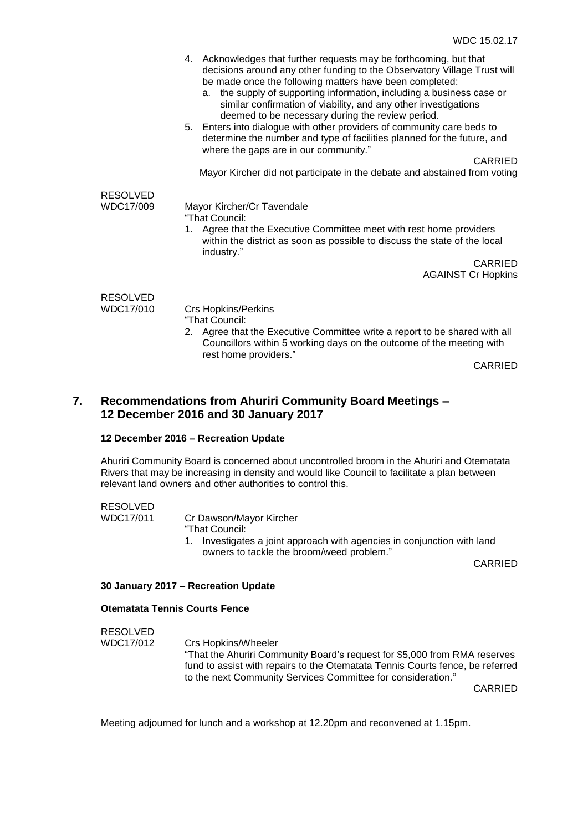|                              | 4. Acknowledges that further requests may be forthcoming, but that<br>decisions around any other funding to the Observatory Village Trust will<br>be made once the following matters have been completed:<br>the supply of supporting information, including a business case or<br>a.<br>similar confirmation of viability, and any other investigations<br>deemed to be necessary during the review period.<br>5. Enters into dialogue with other providers of community care beds to<br>determine the number and type of facilities planned for the future, and<br>where the gaps are in our community."<br><b>CARRIED</b><br>Mayor Kircher did not participate in the debate and abstained from voting |  |
|------------------------------|-----------------------------------------------------------------------------------------------------------------------------------------------------------------------------------------------------------------------------------------------------------------------------------------------------------------------------------------------------------------------------------------------------------------------------------------------------------------------------------------------------------------------------------------------------------------------------------------------------------------------------------------------------------------------------------------------------------|--|
|                              |                                                                                                                                                                                                                                                                                                                                                                                                                                                                                                                                                                                                                                                                                                           |  |
| <b>RESOLVED</b><br>WDC17/009 | Mayor Kircher/Cr Tavendale<br>"That Council:<br>1. Agree that the Executive Committee meet with rest home providers<br>within the district as soon as possible to discuss the state of the local<br>industry."                                                                                                                                                                                                                                                                                                                                                                                                                                                                                            |  |
|                              | CARRIED                                                                                                                                                                                                                                                                                                                                                                                                                                                                                                                                                                                                                                                                                                   |  |
|                              | <b>AGAINST Cr Hopkins</b>                                                                                                                                                                                                                                                                                                                                                                                                                                                                                                                                                                                                                                                                                 |  |
| <b>RESOLVED</b>              |                                                                                                                                                                                                                                                                                                                                                                                                                                                                                                                                                                                                                                                                                                           |  |
| WDC17/010                    | <b>Crs Hopkins/Perkins</b><br>"That Council:<br>2. Agree that the Executive Committee write a report to be shared with all<br>Councillors within 5 working days on the outcome of the meeting with<br>rest home providers."                                                                                                                                                                                                                                                                                                                                                                                                                                                                               |  |

CARRIED

### **7. Recommendations from Ahuriri Community Board Meetings – 12 December 2016 and 30 January 2017**

#### **12 December 2016 – Recreation Update**

Ahuriri Community Board is concerned about uncontrolled broom in the Ahuriri and Otematata Rivers that may be increasing in density and would like Council to facilitate a plan between relevant land owners and other authorities to control this.

### RESOLVED

WDC17/011 Cr Dawson/Mayor Kircher "That Council:

> 1. Investigates a joint approach with agencies in conjunction with land owners to tackle the broom/weed problem."

CARRIED

#### **30 January 2017 – Recreation Update**

#### **Otematata Tennis Courts Fence**

RESOLVED

WDC17/012 Crs Hopkins/Wheeler "That the Ahuriri Community Board's request for \$5,000 from RMA reserves fund to assist with repairs to the Otematata Tennis Courts fence, be referred to the next Community Services Committee for consideration."

CARRIED

Meeting adjourned for lunch and a workshop at 12.20pm and reconvened at 1.15pm.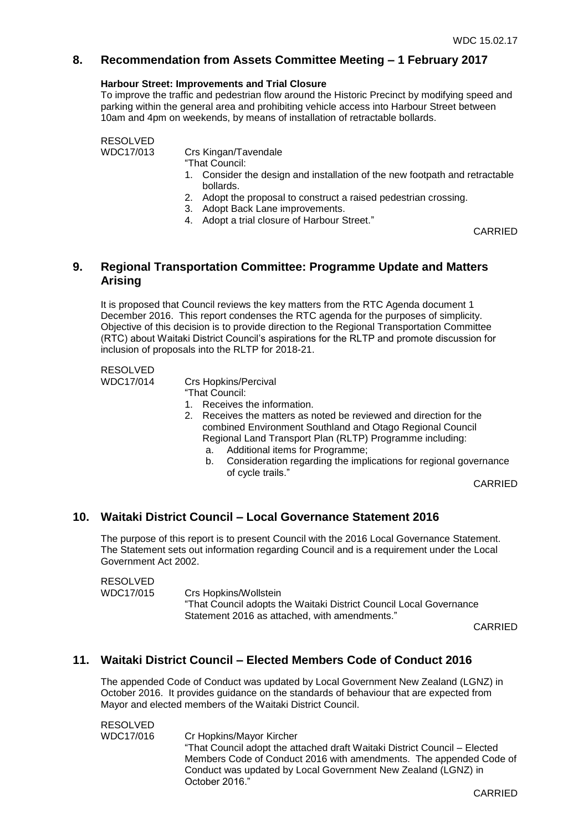### **8. Recommendation from Assets Committee Meeting – 1 February 2017**

#### **Harbour Street: Improvements and Trial Closure**

To improve the traffic and pedestrian flow around the Historic Precinct by modifying speed and parking within the general area and prohibiting vehicle access into Harbour Street between 10am and 4pm on weekends, by means of installation of retractable bollards.

RESOLVED

WDC17/013 Crs Kingan/Tavendale

"That Council:

- 1. Consider the design and installation of the new footpath and retractable bollards.
- 2. Adopt the proposal to construct a raised pedestrian crossing.
- 3. Adopt Back Lane improvements.
- 4. Adopt a trial closure of Harbour Street."

CARRIED

### **9. Regional Transportation Committee: Programme Update and Matters Arising**

It is proposed that Council reviews the key matters from the RTC Agenda document 1 December 2016. This report condenses the RTC agenda for the purposes of simplicity. Objective of this decision is to provide direction to the Regional Transportation Committee (RTC) about Waitaki District Council's aspirations for the RLTP and promote discussion for inclusion of proposals into the RLTP for 2018-21.

## RESOLVED

WDC17/014 Crs Hopkins/Percival

- "That Council:
- 1. Receives the information.
- 2. Receives the matters as noted be reviewed and direction for the combined Environment Southland and Otago Regional Council Regional Land Transport Plan (RLTP) Programme including:
	- a. Additional items for Programme;
	- b. Consideration regarding the implications for regional governance of cycle trails."

CARRIED

### **10. Waitaki District Council – Local Governance Statement 2016**

The purpose of this report is to present Council with the 2016 Local Governance Statement. The Statement sets out information regarding Council and is a requirement under the Local Government Act 2002.

### RESOLVED WDC17/015 Crs Hopkins/Wollstein "That Council adopts the Waitaki District Council Local Governance Statement 2016 as attached, with amendments."

CARRIED

### **11. Waitaki District Council – Elected Members Code of Conduct 2016**

The appended Code of Conduct was updated by Local Government New Zealand (LGNZ) in October 2016. It provides guidance on the standards of behaviour that are expected from Mayor and elected members of the Waitaki District Council.

RESOLVED WDC17/016 Cr Hopkins/Mayor Kircher "That Council adopt the attached draft Waitaki District Council – Elected Members Code of Conduct 2016 with amendments. The appended Code of Conduct was updated by Local Government New Zealand (LGNZ) in October 2016."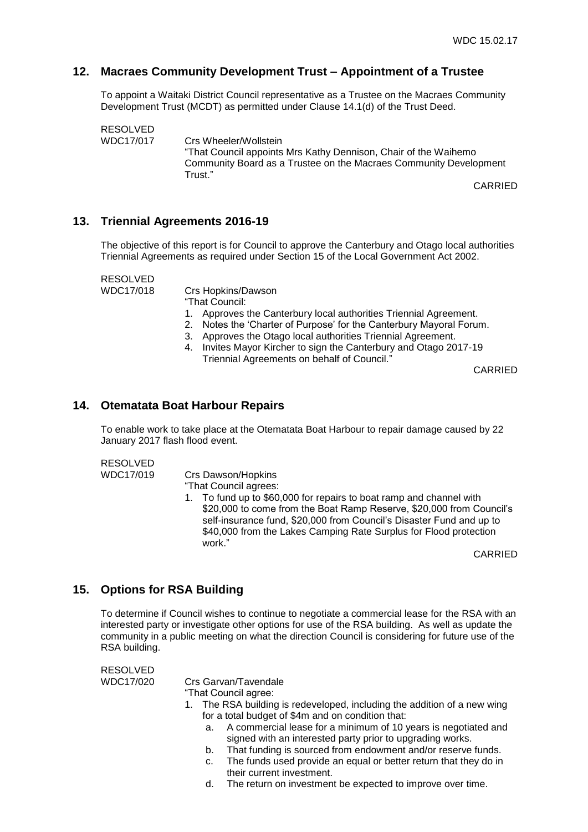### **12. Macraes Community Development Trust – Appointment of a Trustee**

To appoint a Waitaki District Council representative as a Trustee on the Macraes Community Development Trust (MCDT) as permitted under Clause 14.1(d) of the Trust Deed.

RESOLVED WDC17/017 Crs Wheeler/Wollstein "That Council appoints Mrs Kathy Dennison, Chair of the Waihemo Community Board as a Trustee on the Macraes Community Development Trust."

CARRIED

### **13. Triennial Agreements 2016-19**

The objective of this report is for Council to approve the Canterbury and Otago local authorities Triennial Agreements as required under Section 15 of the Local Government Act 2002.

RESOLVED

WDC17/018 Crs Hopkins/Dawson

"That Council:

- 1. Approves the Canterbury local authorities Triennial Agreement.
- 2. Notes the 'Charter of Purpose' for the Canterbury Mayoral Forum.
- 3. Approves the Otago local authorities Triennial Agreement.
- 4. Invites Mayor Kircher to sign the Canterbury and Otago 2017-19 Triennial Agreements on behalf of Council."

CARRIED

### **14. Otematata Boat Harbour Repairs**

To enable work to take place at the Otematata Boat Harbour to repair damage caused by 22 January 2017 flash flood event.

RESOLVED

WDC17/019 Crs Dawson/Hopkins

"That Council agrees:

1. To fund up to \$60,000 for repairs to boat ramp and channel with \$20,000 to come from the Boat Ramp Reserve, \$20,000 from Council's self-insurance fund, \$20,000 from Council's Disaster Fund and up to \$40,000 from the Lakes Camping Rate Surplus for Flood protection work."

CARRIED

### **15. Options for RSA Building**

To determine if Council wishes to continue to negotiate a commercial lease for the RSA with an interested party or investigate other options for use of the RSA building. As well as update the community in a public meeting on what the direction Council is considering for future use of the RSA building.

RESOLVED

WDC17/020 Crs Garvan/Tavendale

"That Council agree:

- 1. The RSA building is redeveloped, including the addition of a new wing for a total budget of \$4m and on condition that:
	- a. A commercial lease for a minimum of 10 years is negotiated and signed with an interested party prior to upgrading works.
	- b. That funding is sourced from endowment and/or reserve funds.
	- c. The funds used provide an equal or better return that they do in their current investment.
	- d. The return on investment be expected to improve over time.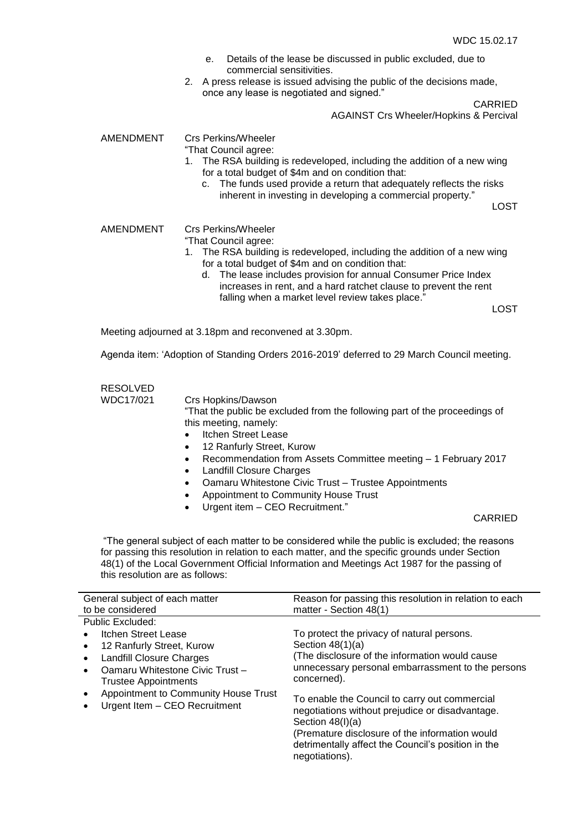- e. Details of the lease be discussed in public excluded, due to commercial sensitivities.
- 2. A press release is issued advising the public of the decisions made, once any lease is negotiated and signed."

CARRIED

AGAINST Crs Wheeler/Hopkins & Percival

AMENDMENT Crs Perkins/Wheeler

"That Council agree:

- 1. The RSA building is redeveloped, including the addition of a new wing for a total budget of \$4m and on condition that:
	- c. The funds used provide a return that adequately reflects the risks inherent in investing in developing a commercial property."

LOST

AMENDMENT Crs Perkins/Wheeler

- "That Council agree:
	- 1. The RSA building is redeveloped, including the addition of a new wing for a total budget of \$4m and on condition that:
		- d. The lease includes provision for annual Consumer Price Index increases in rent, and a hard ratchet clause to prevent the rent falling when a market level review takes place."

LOST

Meeting adjourned at 3.18pm and reconvened at 3.30pm.

Agenda item: 'Adoption of Standing Orders 2016-2019' deferred to 29 March Council meeting.

## RESOLVED

WDC17/021 Crs Hopkins/Dawson

"That the public be excluded from the following part of the proceedings of this meeting, namely:

- Itchen Street Lease
- 12 Ranfurly Street, Kurow
- Recommendation from Assets Committee meeting 1 February 2017
- Landfill Closure Charges
- Oamaru Whitestone Civic Trust Trustee Appointments
- Appointment to Community House Trust
- Urgent item CEO Recruitment."

#### CARRIED

"The general subject of each matter to be considered while the public is excluded; the reasons for passing this resolution in relation to each matter, and the specific grounds under Section 48(1) of the Local Government Official Information and Meetings Act 1987 for the passing of this resolution are as follows:

| General subject of each matter               | Reason for passing this resolution in relation to each               |
|----------------------------------------------|----------------------------------------------------------------------|
| to be considered                             | matter - Section 48(1)                                               |
| Public Excluded:                             |                                                                      |
| Itchen Street Lease                          | To protect the privacy of natural persons.                           |
| 12 Ranfurly Street, Kurow<br>$\bullet$       | Section $48(1)(a)$                                                   |
| <b>Landfill Closure Charges</b><br>$\bullet$ | (The disclosure of the information would cause                       |
| Oamaru Whitestone Civic Trust-               | unnecessary personal embarrassment to the persons                    |
| <b>Trustee Appointments</b>                  | concerned).                                                          |
| Appointment to Community House Trust         | To enable the Council to carry out commercial                        |
| Urgent Item - CEO Recruitment                | negotiations without prejudice or disadvantage.                      |
|                                              | Section $48(l)(a)$                                                   |
|                                              | (Premature disclosure of the information would                       |
|                                              | detrimentally affect the Council's position in the<br>negotiations). |